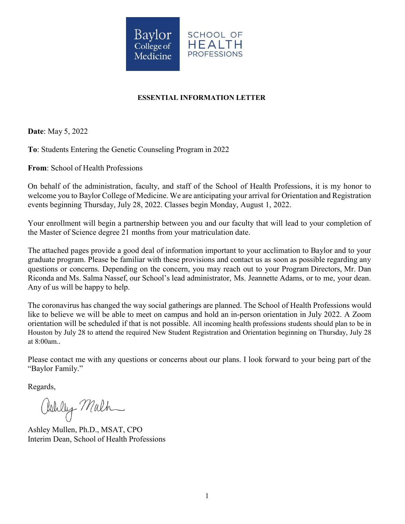

# **ESSENTIAL INFORMATION LETTER**

**Date**: May 5, 2022

**To**: Students Entering the Genetic Counseling Program in 2022

**From**: School of Health Professions

On behalf of the administration, faculty, and staff of the School of Health Professions, it is my honor to welcome you to Baylor College of Medicine. We are anticipating your arrival for Orientation and Registration events beginning Thursday, July 28, 2022. Classes begin Monday, August 1, 2022.

Your enrollment will begin a partnership between you and our faculty that will lead to your completion of the Master of Science degree 21 months from your matriculation date.

The attached pages provide a good deal of information important to your acclimation to Baylor and to your graduate program. Please be familiar with these provisions and contact us as soon as possible regarding any questions or concerns. Depending on the concern, you may reach out to your Program Directors, Mr. Dan Riconda and Ms. Salma Nassef, our School's lead administrator, Ms. Jeannette Adams, or to me, your dean. Any of us will be happy to help.

The coronavirus has changed the way social gatherings are planned. The School of Health Professions would like to believe we will be able to meet on campus and hold an in-person orientation in July 2022. A Zoom orientation will be scheduled if that is not possible. All incoming health professions students should plan to be in Houston by July 28 to attend the required New Student Registration and Orientation beginning on Thursday, July 28 at 8:00am..

Please contact me with any questions or concerns about our plans. I look forward to your being part of the "Baylor Family."

Regards,

Oshly Malh

Ashley Mullen, Ph.D., MSAT, CPO Interim Dean, School of Health Professions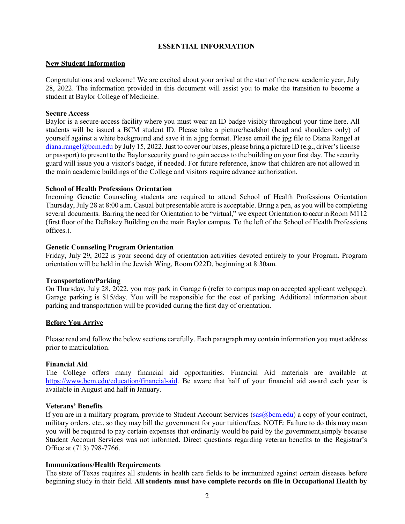### **ESSENTIAL INFORMATION**

### **New Student Information**

Congratulations and welcome! We are excited about your arrival at the start of the new academic year, July 28, 2022. The information provided in this document will assist you to make the transition to become a student at Baylor College of Medicine.

### **Secure Access**

Baylor is a secure-access facility where you must wear an ID badge visibly throughout your time here. All students will be issued a BCM student ID. Please take a picture/headshot (head and shoulders only) of yourself against a white background and save it in a jpg format. Please email the jpg file to Diana Rangel at  $\frac{d}{d}$  [diana.rangel@bcm.edu](mailto:diana.rangel@bcm.edu) by July 15, 2022. Just to cover our bases, please bring a picture ID (e.g., driver's license or passport) to present to the Baylor security guard to gain access to the building on your first day. The security guard will issue you a visitor's badge, if needed. For future reference, know that children are not allowed in the main academic buildings of the College and visitors require advance authorization.

### **School of Health Professions Orientation**

Incoming Genetic Counseling students are required to attend School of Health Professions Orientation Thursday, July 28 at 8:00 a.m. Casual but presentable attire is acceptable. Bring a pen, as you will be completing several documents. Barring the need for Orientation to be "virtual," we expect Orientation to occur in Room M112 (first floor of the DeBakey Building on the main Baylor campus. To the left of the School of Health Professions offices.).

## **Genetic Counseling Program Orientation**

Friday, July 29, 2022 is your second day of orientation activities devoted entirely to your Program. Program orientation will be held in the Jewish Wing, Room O22D, beginning at 8:30am.

## **Transportation/Parking**

On Thursday, July 28, 2022, you may park in Garage 6 (refer to campus map on accepted applicant webpage). Garage parking is \$15/day. You will be responsible for the cost of parking. Additional information about parking and transportation will be provided during the first day of orientation.

#### **Before You Arrive**

Please read and follow the below sections carefully. Each paragraph may contain information you must address prior to matriculation.

## **Financial Aid**

The College offers many financial aid opportunities. Financial Aid materials are available at [https://www.bcm.edu/education/financial-aid. B](https://www.bcm.edu/education/financial-aid)e aware that half of your financial aid award each year is available in August and half in January.

## **Veterans' Benefits**

If you are in a military program, provide to Student Account Services (sas @bcm.edu) a copy of your contract, military orders, etc., so they may bill the government for your tuition/fees. NOTE: Failure to do this may mean you will be required to pay certain expenses that ordinarily would be paid by the government,simply because Student Account Services was not informed. Direct questions regarding veteran benefits to the Registrar's Office at (713) 798-7766.

## **Immunizations/Health Requirements**

The state of Texas requires all students in health care fields to be immunized against certain diseases before beginning study in their field. **All students must have complete records on file in Occupational Health by**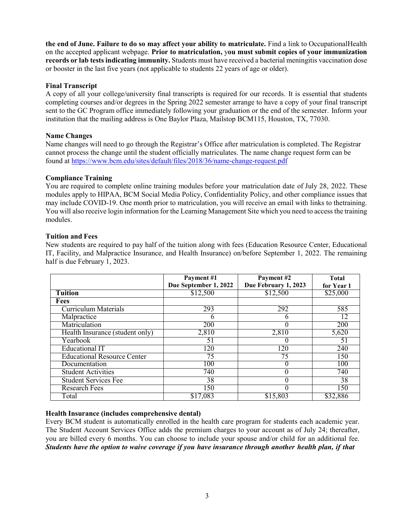**the end of June. Failure to do so may affect your ability to matriculate.** Find a link to Occupational Health on the accepted applicant webpage. **Prior to matriculation,** y**ou must submit copies of your immunization records or lab tests indicating immunity.** Students must have received a bacterial meningitis vaccination dose or booster in the last five years (not applicable to students 22 years of age or older).

## **Final Transcript**

A copy of all your college/university final transcripts is required for our records. It is essential that students completing courses and/or degrees in the Spring 2022 semester arrange to have a copy of your final transcript sent to the GC Program office immediately following your graduation or the end of the semester. Inform your institution that the mailing address is One Baylor Plaza, Mailstop BCM115, Houston, TX, 77030.

## **Name Changes**

Name changes will need to go through the Registrar's Office after matriculation is completed. The Registrar cannot process the change until the student officially matriculates. The name change request form can be found at<https://www.bcm.edu/sites/default/files/2018/36/name-change-request.pdf>

## **Compliance Training**

You are [required](mailto:djromero@bcm.edu) to complete online training [modules b](mailto:jlewis@bcm.edu)efore your matriculation date of July 28, 2022. These modules apply to HIPAA, BCM Social Media Policy, Confidentiality Policy, and other compliance issues that may include COVID-19. One month prior to matriculation, you will receive an email with links to thetraining. You will also receive login information for the Learning Management Site which you need to access the training modules.

## **Tuition and Fees**

New students are required to pay half of the tuition along with fees (Education Resource Center, Educational IT, Facility, and Malpractice Insurance, and Health Insurance) on/before September 1, 2022. The remaining half is due February 1, 2023.

|                                    | Payment #1            | Payment #2           | <b>Total</b> |
|------------------------------------|-----------------------|----------------------|--------------|
|                                    | Due September 1, 2022 | Due February 1, 2023 | for Year 1   |
| <b>Tuition</b>                     | \$12,500              | \$12,500             | \$25,000     |
| Fees                               |                       |                      |              |
| <b>Curriculum Materials</b>        | 293                   | 292                  | 585          |
| Malpractice                        | n                     |                      | 12           |
| Matriculation                      | 200                   |                      | 200          |
| Health Insurance (student only)    | 2,810                 | 2,810                | 5,620        |
| Yearbook                           | 51                    |                      | 51           |
| <b>Educational IT</b>              | 120                   | 120                  | 240          |
| <b>Educational Resource Center</b> | 75                    | 75                   | 150          |
| Documentation                      | 100                   |                      | 100          |
| Student Activities                 | 740                   |                      | 740          |
| <b>Student Services Fee</b>        | 38                    |                      | 38           |
| <b>Research Fees</b>               | 150                   |                      | 150          |
| Total                              | \$17,083              | \$15,803             | \$32,886     |

## **Health Insurance (includes comprehensive dental)**

Every BCM student is automatically enrolled in the health care program for students each academic year. The Student Account Services Office adds the premium charges to your account as of July 24; thereafter, you are billed every 6 months. You can choose to include your spouse and/or child for an additional fee. *Students have the option to waive coverage if you have insurance through another health plan, if that*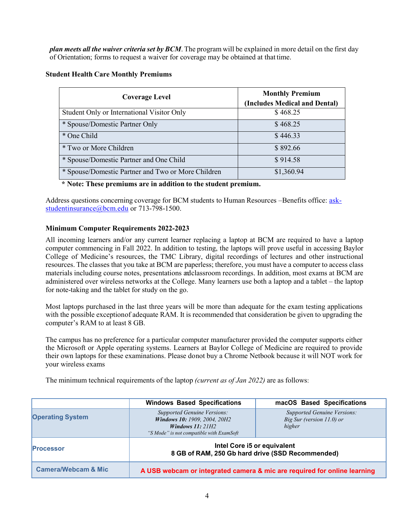*plan meets all the waiver criteria set by BCM*. The program will be explained in more detail on the first day of Orientation; forms to request a waiver for coverage may be obtained at that time.

| <b>Student Health Care Monthly Premiums</b> |  |  |  |
|---------------------------------------------|--|--|--|
|---------------------------------------------|--|--|--|

| <b>Coverage Level</b>                              | <b>Monthly Premium</b><br>(Includes Medical and Dental) |  |
|----------------------------------------------------|---------------------------------------------------------|--|
| Student Only or International Visitor Only         | \$468.25                                                |  |
| * Spouse/Domestic Partner Only                     | \$468.25                                                |  |
| * One Child                                        | \$446.33                                                |  |
| <i>*</i> Two or More Children                      | \$892.66                                                |  |
| * Spouse/Domestic Partner and One Child            | \$914.58                                                |  |
| * Spouse/Domestic Partner and Two or More Children | \$1,360.94                                              |  |

## **\* Note: These premiums are in addition to the student premium.**

Address questions concerning coverage for BCM students to Human Resources – Benefits office: [ask](mailto:ask-studentinsurance@bcm.edu)[studentinsurance@bcm.edu](mailto:ask-studentinsurance@bcm.edu) or 713-798-1500.

## **Minimum Computer Requirements 2022-2023**

All incoming learners and/or any current learner replacing a laptop at BCM are required to have a laptop computer commencing in Fall 2022. In addition to testing, the laptops will prove useful in accessing Baylor College of Medicine's resources, the TMC Library, digital recordings of lectures and other instructional resources. The classes that you take at BCM are paperless; therefore, you must have a computer to access class materials including course notes, presentations andclassroom recordings. In addition, most exams at BCM are administered over wireless networks at the College. Many learners use both a laptop and a tablet – the laptop for note-taking and the tablet for study on the go.

Most laptops purchased in the last three years will be more than adequate for the exam testing applications with the possible exception of adequate RAM. It is recommended that consideration be given to upgrading the computer's RAM to at least 8 GB.

The campus has no preference for a particular computer manufacturer provided the computer supports either the Microsoft or Apple operating systems. Learners at Baylor College of Medicine are required to provide their own laptops for these examinations. Please donot buy a Chrome Netbook because it will NOT work for your wireless exams

The minimum technical requirements of the laptop *(current as of Jan 2022)* are as follows:

|                                | <b>Windows Based Specifications</b>                                                                                                        | macOS Based Specifications                                                   |
|--------------------------------|--------------------------------------------------------------------------------------------------------------------------------------------|------------------------------------------------------------------------------|
| <b>Operating System</b>        | <b>Supported Genuine Versions:</b><br><b>Windows 10: 1909, 2004, 20H2</b><br>Windows $11:21H2$<br>"S Mode" is not compatible with ExamSoft | <b>Supported Genuine Versions:</b><br>Big Sur (version $11.0$ ) or<br>higher |
| <b>Processor</b>               | Intel Core i5 or equivalent<br>8 GB of RAM, 250 Gb hard drive (SSD Recommended)                                                            |                                                                              |
| <b>Camera/Webcam &amp; Mic</b> | A USB webcam or integrated camera & mic are required for online learning                                                                   |                                                                              |